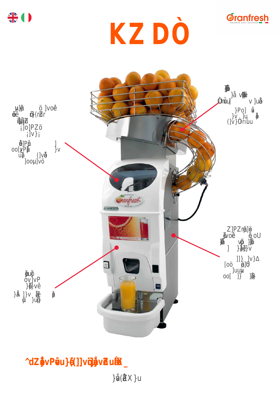